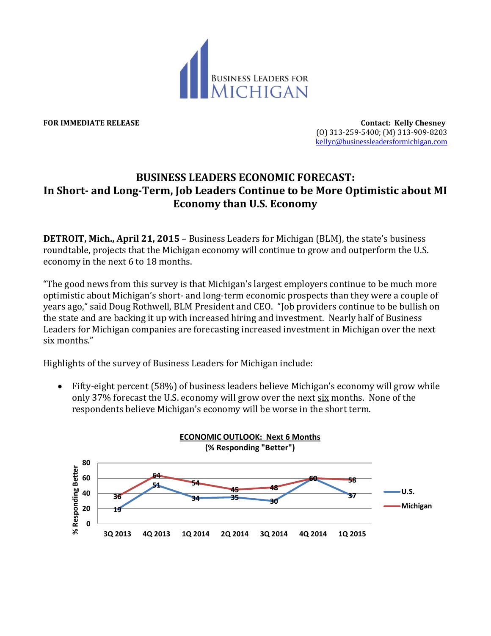

**FOR IMMEDIATE RELEASE Contact: Kelly Chesney** (O) 313-259-5400; (M) 313-909-8203 [kellyc@businessleadersformichigan.com](mailto:kellyc@businessleadersformichigan.com)

## **BUSINESS LEADERS ECONOMIC FORECAST: In Short- and Long-Term, Job Leaders Continue to be More Optimistic about MI Economy than U.S. Economy**

**DETROIT, Mich., April 21, 2015** – Business Leaders for Michigan (BLM), the state's business roundtable, projects that the Michigan economy will continue to grow and outperform the U.S. economy in the next 6 to 18 months.

"The good news from this survey is that Michigan's largest employers continue to be much more optimistic about Michigan's short- and long-term economic prospects than they were a couple of years ago," said Doug Rothwell, BLM President and CEO. "Job providers continue to be bullish on the state and are backing it up with increased hiring and investment. Nearly half of Business Leaders for Michigan companies are forecasting increased investment in Michigan over the next six months."

Highlights of the survey of Business Leaders for Michigan include:

 Fifty-eight percent (58%) of business leaders believe Michigan's economy will grow while only 37% forecast the U.S. economy will grow over the next six months. None of the respondents believe Michigan's economy will be worse in the short term.